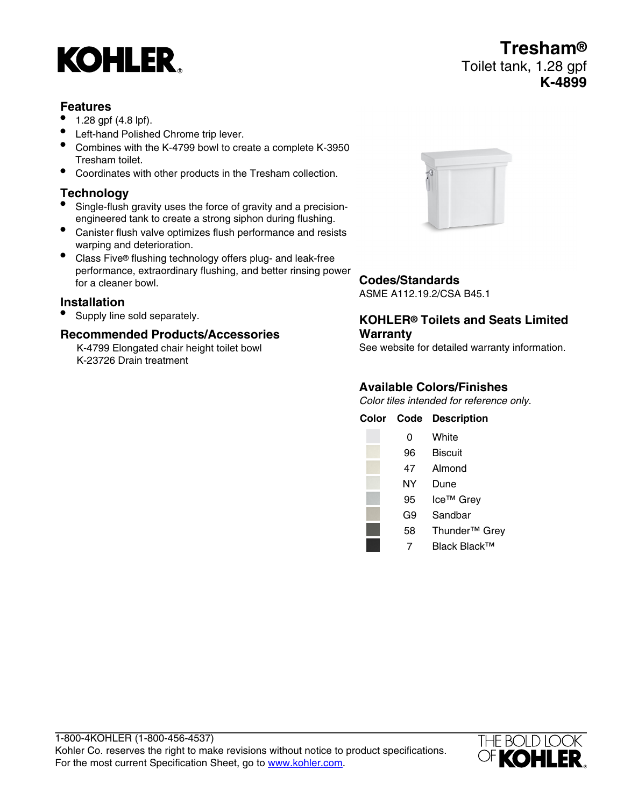# **KOHLER**

### **Features**

- 1.28 gpf (4.8 lpf).
- Left-hand Polished Chrome trip lever.
- Combines with the K-4799 bowl to create a complete K-3950 Tresham toilet.
- Coordinates with other products in the Tresham collection.

## **Technology**<br>● Single-flush

- Single-flush gravity uses the force of gravity and a precisionengineered tank to create a strong siphon during flushing.
- Canister flush valve optimizes flush performance and resists warping and deterioration.
- Class Five® flushing technology offers plug- and leak-free performance, extraordinary flushing, and better rinsing power for a cleaner bowl.

#### **Installation**

• Supply line sold separately.

### **Recommended Products/Accessories**

K-4799 Elongated chair height toilet bowl K-23726 Drain treatment



### **Codes/Standards**

ASME A112.19.2/CSA B45.1

#### **KOHLER® Toilets and Seats Limited Warranty**

See website for detailed warranty information.

### **Available Colors/Finishes**

Color tiles intended for reference only.

| Color | Code | <b>Description</b>        |
|-------|------|---------------------------|
|       | 0    | White                     |
|       | 96   | Biscuit                   |
|       | 47   | Almond                    |
|       | NΥ   | Dune                      |
|       | 95   | Ice <sup>™</sup> Grey     |
|       | G9   | Sandbar                   |
|       | 58   | Thunder <sup>™</sup> Grey |
|       |      | Black Black™              |



**Tresham®** Toilet tank, 1.28 gpf **K-4899**